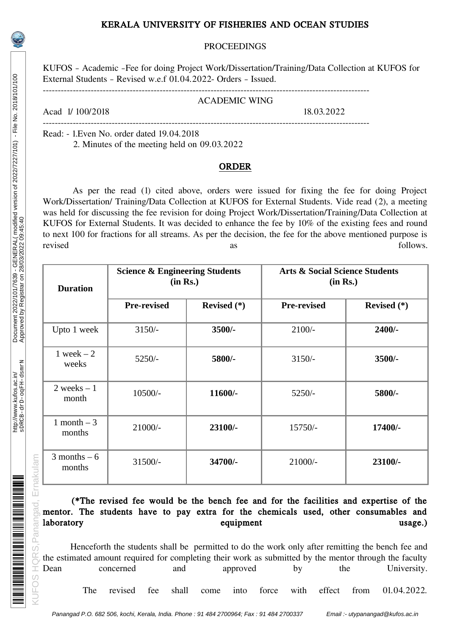# KERALA UNIVERSITY OF FISHERIES AND OCEAN STUDIES

### PROCEEDINGS

KUFOS – Academic –Fee for doing Project Work/Dissertation/Training/Data Collection at KUFOS for External Students – Revised w.e.f 01.04.2022- Orders – Issued.

-------------------------------------------------------------------------------------------------------------

#### ACADEMIC WING

Acad 1/ 100/2018 18.03.2022

------------------------------------------------------------------------------------------------------------- Read: - 1.Even No. order dated 19.04.2018 2. Minutes of the meeting held on 09.03.2022

### ORDER

As per the read (1) cited above, orders were issued for fixing the fee for doing Project Work/Dissertation/ Training/Data Collection at KUFOS for External Students. Vide read (2), a meeting was held for discussing the fee revision for doing Project Work/Dissertation/Training/Data Collection at KUFOS for External Students. It was decided to enhance the fee by 10% of the existing fees and round to next 100 for fractions for all streams. As per the decision, the fee for the above mentioned purpose is revised as as follows.

| <b>Duration</b>          | <b>Science &amp; Engineering Students</b><br>(in Rs.) |             | <b>Arts &amp; Social Science Students</b><br>(in Rs.) |             |
|--------------------------|-------------------------------------------------------|-------------|-------------------------------------------------------|-------------|
|                          | <b>Pre-revised</b>                                    | Revised (*) | <b>Pre-revised</b>                                    | Revised (*) |
| Upto 1 week              | $3150/-$                                              | $3500/-$    | $2100/-$                                              | $2400/-$    |
| $1$ week $-2$<br>weeks   | $5250/-$                                              | 5800/-      | $3150/-$                                              | 3500/-      |
| 2 weeks $-1$<br>month    | 10500/-                                               | $11600/-$   | $5250/-$                                              | 5800/-      |
| $1$ month $-3$<br>months | 21000/-                                               | 23100/-     | 15750/-                                               | 17400/-     |
| 3 months $-6$<br>months  | 31500/-                                               | 34700/-     | 21000/-                                               | 23100/-     |

# (\*The revised fee would be the bench fee and for the facilities and expertise of the mentor. The students have to pay extra for the chemicals used, other consumables and laboratory usage.) equipment usage.

Henceforth the students shall be permitted to do the work only after remitting the bench fee and the estimated amount required for completing their work as submitted by the mentor through the faculty<br>Dean concerned and approved by the University. Dean concerned and approved by the University.

The revised fee shall come into force with effect from 01.04.2022.